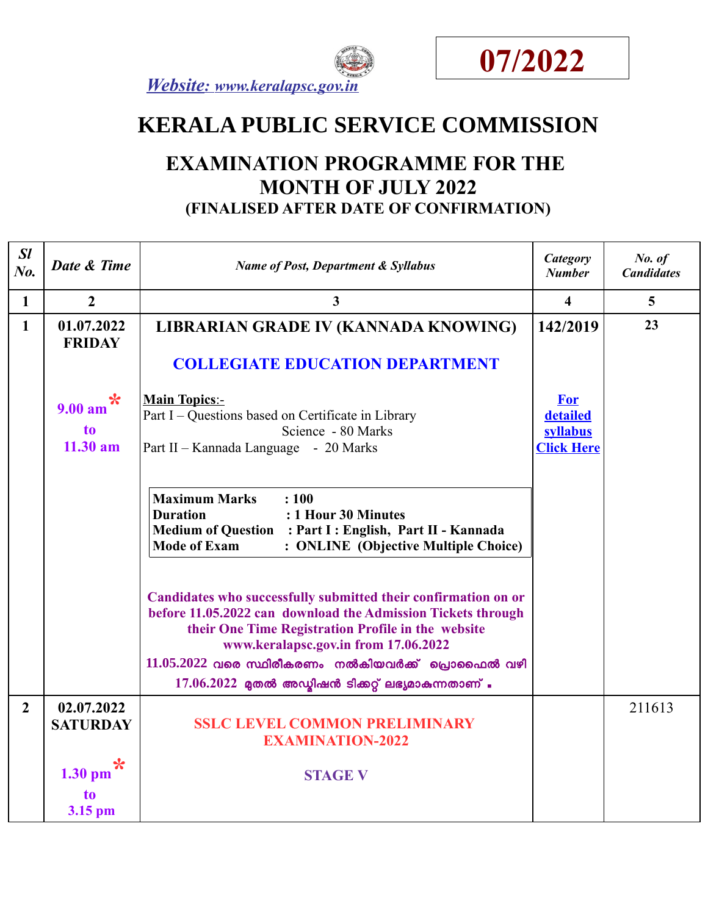



# **KERALA PUBLIC SERVICE COMMISSION**

## **EXAMINATION PROGRAMME FOR THE MONTH OF JULY 2022 (FINALISED AFTER DATE OF CONFIRMATION)**

| SI<br>$N_{0}$ . | Date & Time                                       | <b>Name of Post, Department &amp; Syllabus</b>                                                                                                                                                                                                                                                                                               | <b>Category</b><br><b>Number</b>                        | No. of<br><b>Candidates</b> |
|-----------------|---------------------------------------------------|----------------------------------------------------------------------------------------------------------------------------------------------------------------------------------------------------------------------------------------------------------------------------------------------------------------------------------------------|---------------------------------------------------------|-----------------------------|
| $\mathbf{1}$    | $\overline{2}$                                    | 3                                                                                                                                                                                                                                                                                                                                            | $\overline{\mathbf{4}}$                                 | $5\overline{)}$             |
| $\mathbf{1}$    | 01.07.2022<br><b>FRIDAY</b>                       | LIBRARIAN GRADE IV (KANNADA KNOWING)                                                                                                                                                                                                                                                                                                         | 142/2019                                                | 23                          |
|                 |                                                   | <b>COLLEGIATE EDUCATION DEPARTMENT</b>                                                                                                                                                                                                                                                                                                       |                                                         |                             |
|                 | $\ast$<br>9.00 a <sub>m</sub><br>to<br>$11.30$ am | <b>Main Topics:-</b><br>Part I – Questions based on Certificate in Library<br>Science - 80 Marks<br>Part II - Kannada Language - 20 Marks                                                                                                                                                                                                    | <b>For</b><br>detailed<br>syllabus<br><b>Click Here</b> |                             |
|                 |                                                   | <b>Maximum Marks</b><br>: 100<br><b>Duration</b><br>: 1 Hour 30 Minutes<br>Medium of Question : Part I : English, Part II - Kannada<br><b>Mode of Exam</b><br>: ONLINE (Objective Multiple Choice)                                                                                                                                           |                                                         |                             |
|                 |                                                   | Candidates who successfully submitted their confirmation on or<br>before 11.05.2022 can download the Admission Tickets through<br>their One Time Registration Profile in the website<br>www.keralapsc.gov.in from 17.06.2022<br>$11.05.2022$ വരെ സ്ഥിരീകരണം നൽകിയവർക്ക് പ്രൊഫൈൽ വഴി<br>$17.06.2022$ മുതൽ അഡ്യിഷൻ ടിക്കറ്റ് ലഭ്യമാകുന്നതാണ് . |                                                         |                             |
| $\overline{2}$  | 02.07.2022                                        |                                                                                                                                                                                                                                                                                                                                              |                                                         | 211613                      |
|                 | <b>SATURDAY</b>                                   | <b>SSLC LEVEL COMMON PRELIMINARY</b><br><b>EXAMINATION-2022</b>                                                                                                                                                                                                                                                                              |                                                         |                             |
|                 | $1.30$ pm                                         | <b>STAGE V</b>                                                                                                                                                                                                                                                                                                                               |                                                         |                             |
|                 | to<br>3.15 pm                                     |                                                                                                                                                                                                                                                                                                                                              |                                                         |                             |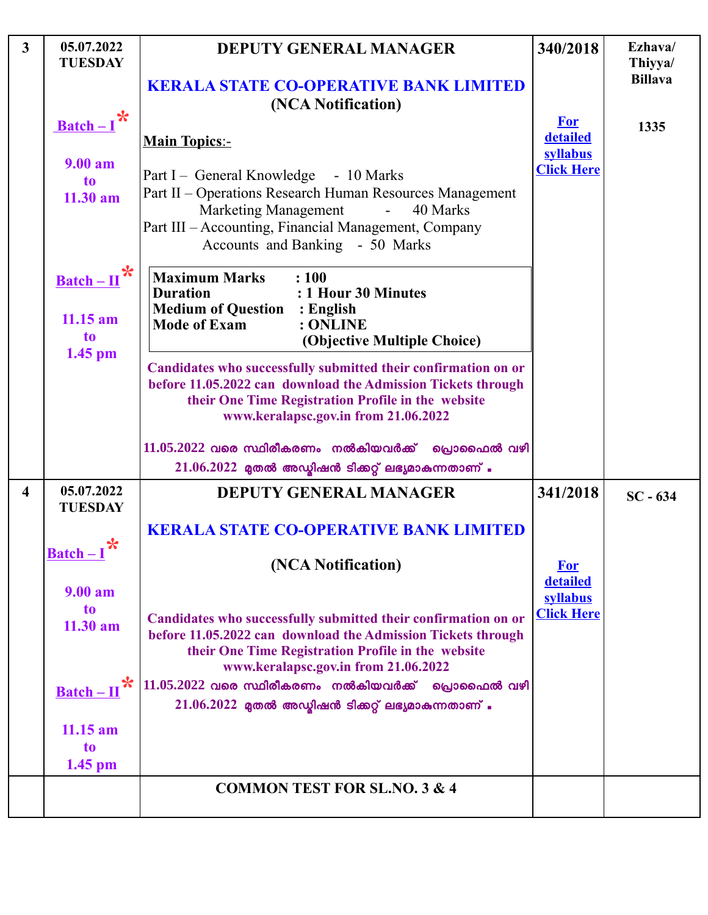| $\mathbf{3}$            | 05.07.2022<br><b>TUESDAY</b>                      | <b>DEPUTY GENERAL MANAGER</b>                                                                                                                                                                                                                     | 340/2018                           | Ezhava/<br>Thiyya/ |
|-------------------------|---------------------------------------------------|---------------------------------------------------------------------------------------------------------------------------------------------------------------------------------------------------------------------------------------------------|------------------------------------|--------------------|
|                         |                                                   | <b>KERALA STATE CO-OPERATIVE BANK LIMITED</b><br>(NCA Notification)                                                                                                                                                                               |                                    | <b>Billava</b>     |
|                         | $\frac{\text{Batch}-I}{\text{R}}$                 | <b>Main Topics:-</b>                                                                                                                                                                                                                              | <b>For</b><br>detailed<br>syllabus | 1335               |
|                         | 9.00 am<br>to<br>$11.30$ am                       | Part I – General Knowledge - 10 Marks<br>Part II - Operations Research Human Resources Management<br><b>Marketing Management</b><br>40 Marks<br>$\sim$<br>Part III - Accounting, Financial Management, Company<br>Accounts and Banking - 50 Marks | <b>Click Here</b>                  |                    |
|                         | $Batch-II$<br>$11.15$ am<br>to<br>$1.45$ pm       | <b>Maximum Marks</b><br>: 100<br>: 1 Hour 30 Minutes<br><b>Duration</b><br><b>Medium of Question : English</b><br><b>Mode of Exam</b><br>: ONLINE<br>(Objective Multiple Choice)                                                                  |                                    |                    |
|                         |                                                   | Candidates who successfully submitted their confirmation on or<br>before 11.05.2022 can download the Admission Tickets through<br>their One Time Registration Profile in the website<br>www.keralapsc.gov.in from 21.06.2022                      |                                    |                    |
|                         |                                                   | $11.05.2022$ വരെ സ്ഥിരീകരണം നൽകിയവർക്ക് പ്രൊഫൈൽ വഴി<br>$21.06.2022$ മുതൽ അഡ്യിഷൻ ടിക്കറ്റ് ലഭ്യമാകുന്നതാണ്.                                                                                                                                       |                                    |                    |
| $\overline{\mathbf{4}}$ | 05.07.2022<br><b>TUESDAY</b>                      | <b>DEPUTY GENERAL MANAGER</b>                                                                                                                                                                                                                     | 341/2018                           | $SC - 634$         |
|                         | $\boldsymbol{*}$<br>$\textbf{Batch} - \textbf{I}$ | <b>KERALA STATE CO-OPERATIVE BANK LIMITED</b><br>(NCA Notification)                                                                                                                                                                               | <b>For</b><br>detailed             |                    |
|                         | 9.00 am<br>to<br>$11.30$ am                       | Candidates who successfully submitted their confirmation on or<br>before 11.05.2022 can download the Admission Tickets through<br>their One Time Registration Profile in the website<br>www.keralapsc.gov.in from 21.06.2022                      | syllabus<br><b>Click Here</b>      |                    |
|                         | $\ast$<br>$\underline{\text{Batch}-\text{II}}$    | $11.05.2022$ വരെ സ്ഥിരീകരണം നൽകിയവർക്ക് പ്രൊഫൈൽ വഴി<br>$21.06.2022$ മുതൽ അഡ്യിഷൻ ടിക്കറ്റ് ലഭ്യമാകുന്നതാണ്.                                                                                                                                       |                                    |                    |
|                         | $11.15$ am<br>to<br>$1.45$ pm                     |                                                                                                                                                                                                                                                   |                                    |                    |
|                         |                                                   | <b>COMMON TEST FOR SL.NO. 3 &amp; 4</b>                                                                                                                                                                                                           |                                    |                    |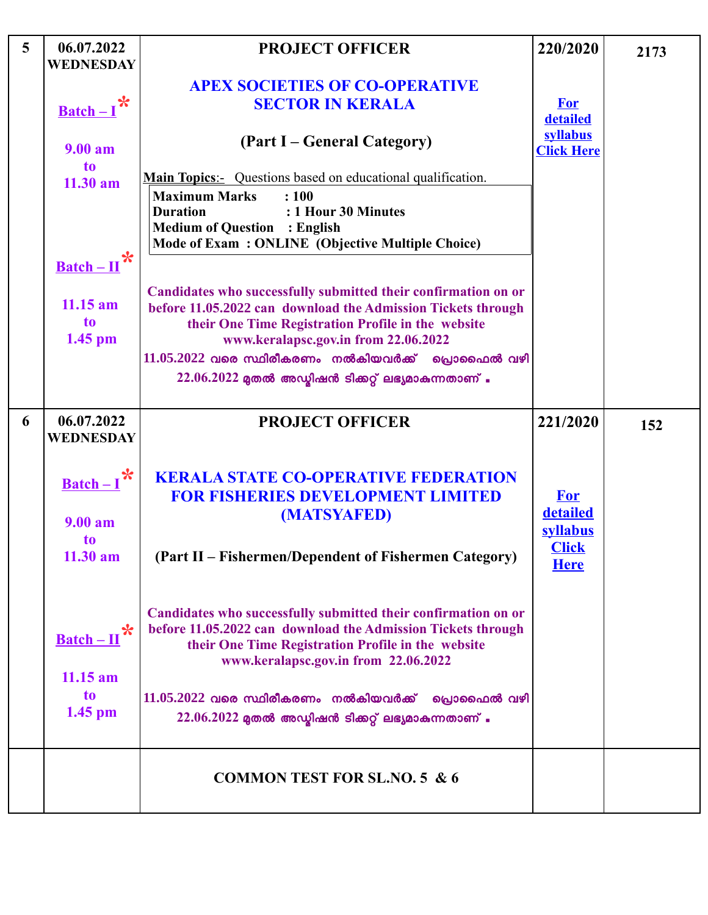| 5 | 06.07.2022<br><b>WEDNESDAY</b>                           | <b>PROJECT OFFICER</b>                                                                                                                                                                                                                   | 220/2020                           | 2173 |
|---|----------------------------------------------------------|------------------------------------------------------------------------------------------------------------------------------------------------------------------------------------------------------------------------------------------|------------------------------------|------|
|   | $Batch - 1$                                              | <b>APEX SOCIETIES OF CO-OPERATIVE</b><br><b>SECTOR IN KERALA</b>                                                                                                                                                                         | <b>For</b><br>detailed             |      |
|   | 9.00 am                                                  | (Part I – General Category)                                                                                                                                                                                                              | syllabus<br><b>Click Here</b>      |      |
|   | to<br>$11.30$ am<br>$\underline{\text{Batch}-\text{II}}$ | <b>Main Topics</b> : Questions based on educational qualification.<br><b>Maximum Marks</b><br>: 100<br>: 1 Hour 30 Minutes<br><b>Duration</b><br><b>Medium of Question : English</b><br>Mode of Exam: ONLINE (Objective Multiple Choice) |                                    |      |
|   | $11.15$ am<br>to<br>$1.45$ pm                            | Candidates who successfully submitted their confirmation on or<br>before 11.05.2022 can download the Admission Tickets through<br>their One Time Registration Profile in the website<br>www.keralapsc.gov.in from 22.06.2022             |                                    |      |
|   |                                                          | $11.05.2022$ വരെ സ്ഥിരീകരണം നൽകിയവർക്ക് പ്രൊഫൈൽ വഴി<br>$22.06.2022$ മുതൽ അഡ്ബിഷൻ ടിക്കറ്റ് ലഭ്യമാകുന്നതാണ്.                                                                                                                              |                                    |      |
| 6 | 06.07.2022<br>WEDNESDAY                                  | <b>PROJECT OFFICER</b>                                                                                                                                                                                                                   | 221/2020                           | 152  |
|   | $Batch-I$<br>9.00 a <sub>m</sub>                         | <b>KERALA STATE CO-OPERATIVE FEDERATION</b><br><b>FOR FISHERIES DEVELOPMENT LIMITED</b><br>(MATSYAFED)                                                                                                                                   | <b>For</b><br>detailed<br>syllabus |      |
|   | <b>to</b><br>11.30 am                                    | (Part II – Fishermen/Dependent of Fishermen Category)                                                                                                                                                                                    | <b>Click</b><br><b>Here</b>        |      |
|   | $\underline{\text{Batch}-\Pi}$<br>$11.15$ am             | Candidates who successfully submitted their confirmation on or<br>before 11.05.2022 can download the Admission Tickets through<br>their One Time Registration Profile in the website<br>www.keralapsc.gov.in from 22.06.2022             |                                    |      |
|   | to<br>$1.45$ pm                                          | $11.05.2022$ വരെ സ്ഥിരീകരണം നൽകിയവർക്ക് പ്രൊഫൈൽ വഴി<br>$22.06.2022$ മുതൽ അഡ്മിഷൻ ടിക്കറ്റ് ലഭ്യമാകുന്നതാണ്.                                                                                                                              |                                    |      |
|   |                                                          | <b>COMMON TEST FOR SL.NO. 5 &amp; 6</b>                                                                                                                                                                                                  |                                    |      |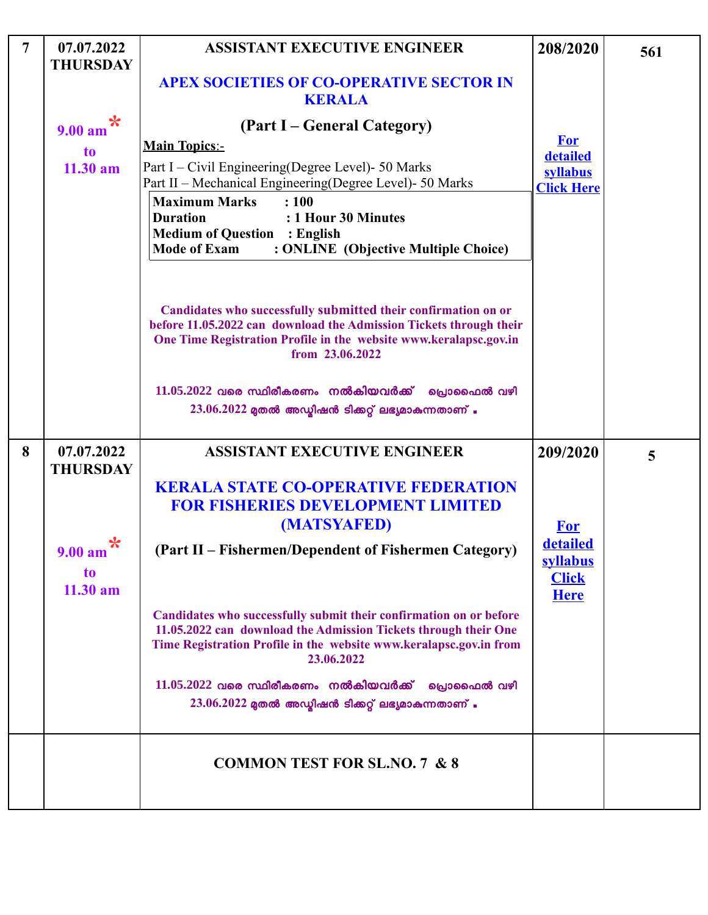| $\overline{7}$ | 07.07.2022<br><b>THURSDAY</b>         | <b>ASSISTANT EXECUTIVE ENGINEER</b>                                                                                                                                                                                          | 208/2020                                                          | 561 |
|----------------|---------------------------------------|------------------------------------------------------------------------------------------------------------------------------------------------------------------------------------------------------------------------------|-------------------------------------------------------------------|-----|
|                |                                       | <b>APEX SOCIETIES OF CO-OPERATIVE SECTOR IN</b><br><b>KERALA</b>                                                                                                                                                             |                                                                   |     |
|                | $\ast$<br>9.00 a <sub>m</sub>         | (Part I – General Category)                                                                                                                                                                                                  |                                                                   |     |
|                | t <sub>o</sub>                        | <b>Main Topics:-</b>                                                                                                                                                                                                         | <b>For</b><br>detailed                                            |     |
|                | $11.30$ am                            | Part I – Civil Engineering (Degree Level) - 50 Marks<br>Part II - Mechanical Engineering(Degree Level)- 50 Marks                                                                                                             | syllabus<br><b>Click Here</b>                                     |     |
|                |                                       | <b>Maximum Marks</b><br>: 100<br>: 1 Hour 30 Minutes<br><b>Duration</b><br><b>Medium of Question : English</b><br><b>Mode of Exam</b><br>: ONLINE (Objective Multiple Choice)                                                |                                                                   |     |
|                |                                       | Candidates who successfully submitted their confirmation on or<br>before 11.05.2022 can download the Admission Tickets through their<br>One Time Registration Profile in the website www.keralapsc.gov.in<br>from 23.06.2022 |                                                                   |     |
|                |                                       | $11.05.2022$ വരെ സ്ഥിരീകരണം നൽകിയവർക്ക് പ്രൊഫൈൽ വഴി<br>$23.06.2022$ മുതൽ അഡ്മിഷൻ ടിക്കറ്റ് ലഭ്യമാകുന്നതാണ് .                                                                                                                 |                                                                   |     |
| 8              | 07.07.2022<br><b>THURSDAY</b>         | <b>ASSISTANT EXECUTIVE ENGINEER</b>                                                                                                                                                                                          | 209/2020                                                          | 5   |
|                |                                       | <b>KERALA STATE CO-OPERATIVE FEDERATION</b>                                                                                                                                                                                  |                                                                   |     |
|                |                                       | <b>FOR FISHERIES DEVELOPMENT LIMITED</b>                                                                                                                                                                                     |                                                                   |     |
|                | $\ast$<br>9.00 am<br>to<br>$11.30$ am | (MATSYAFED)<br>(Part II - Fishermen/Dependent of Fishermen Category)                                                                                                                                                         | <b>For</b><br>detailed<br>syllabus<br><b>Click</b><br><b>Here</b> |     |
|                |                                       | Candidates who successfully submit their confirmation on or before<br>11.05.2022 can download the Admission Tickets through their One<br>Time Registration Profile in the website www.keralapsc.gov.in from<br>23.06.2022    |                                                                   |     |
|                |                                       | $11.05.2022$ വരെ സ്ഥിരീകരണം നൽകിയവർക്ക്<br>്രവാഫൈൽ വഴി<br>$23.06.2022$ മുതൽ അഡ്മിഷൻ ടിക്കറ്റ് ലഭ്യമാകുന്നതാണ് .                                                                                                              |                                                                   |     |
|                |                                       | <b>COMMON TEST FOR SL, NO. 7 &amp; 8</b>                                                                                                                                                                                     |                                                                   |     |
|                |                                       |                                                                                                                                                                                                                              |                                                                   |     |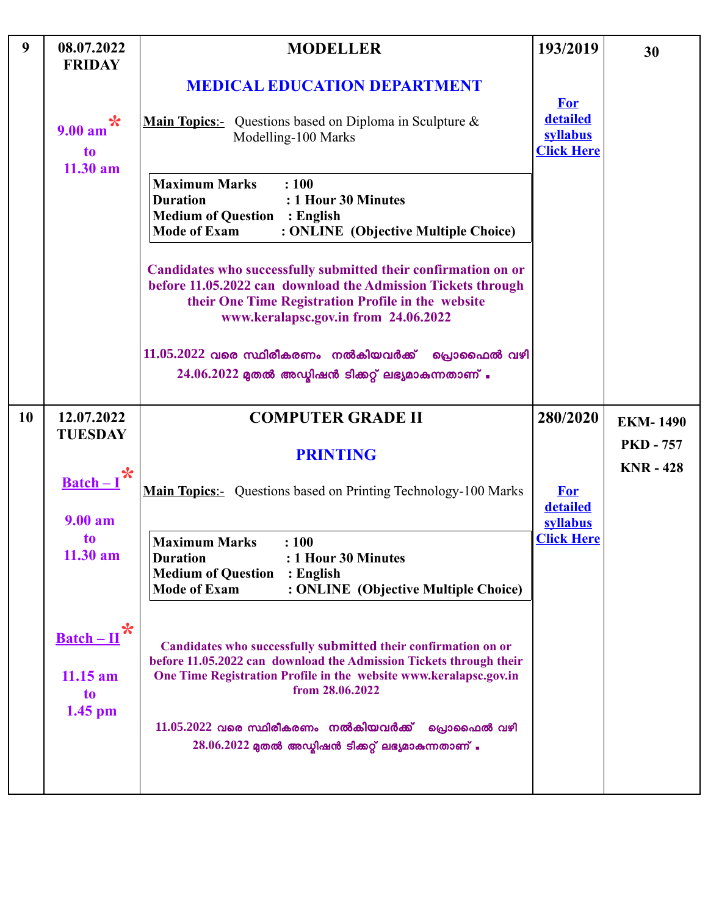| 9         | 08.07.2022<br><b>FRIDAY</b>                                        | <b>MODELLER</b>                                                                                                                                                                                                              | 193/2019                                  | 30                                   |
|-----------|--------------------------------------------------------------------|------------------------------------------------------------------------------------------------------------------------------------------------------------------------------------------------------------------------------|-------------------------------------------|--------------------------------------|
|           |                                                                    | <b>MEDICAL EDUCATION DEPARTMENT</b>                                                                                                                                                                                          | <b>For</b>                                |                                      |
|           | $\ast$<br>9.00 a <sub>m</sub><br>to<br>$11.30$ am                  | <b>Main Topics</b> : Questions based on Diploma in Sculpture $\&$<br>Modelling-100 Marks                                                                                                                                     | detailed<br>syllabus<br><b>Click Here</b> |                                      |
|           |                                                                    | <b>Maximum Marks</b><br>: 100<br>: 1 Hour 30 Minutes<br><b>Duration</b><br><b>Medium of Question : English</b><br><b>Mode of Exam</b><br>: ONLINE (Objective Multiple Choice)                                                |                                           |                                      |
|           |                                                                    | Candidates who successfully submitted their confirmation on or<br>before 11.05.2022 can download the Admission Tickets through<br>their One Time Registration Profile in the website<br>www.keralapsc.gov.in from 24.06.2022 |                                           |                                      |
|           |                                                                    | $11.05.2022$ വരെ സ്ഥിരീകരണം നൽകിയവർക്ക് പ്രൊഫൈൽ വഴി<br>$24.06.2022$ മുതൽ അഡ്ബിഷൻ ടിക്കറ്റ് ലഭ്യമാകുന്നതാണ് .                                                                                                                 |                                           |                                      |
| <b>10</b> | 12.07.2022                                                         | <b>COMPUTER GRADE II</b>                                                                                                                                                                                                     | 280/2020                                  | <b>EKM-1490</b>                      |
|           | <b>TUESDAY</b>                                                     | <b>PRINTING</b>                                                                                                                                                                                                              |                                           | <b>PKD - 757</b><br><b>KNR - 428</b> |
|           | $Batch-I$<br>9.00 a <sub>m</sub>                                   | Main Topics:- Questions based on Printing Technology-100 Marks                                                                                                                                                               | <b>For</b><br>detailed                    |                                      |
|           | to<br>$11.30$ am                                                   | <b>Maximum Marks</b><br>: 100<br><b>Duration</b><br>: 1 Hour 30 Minutes<br><b>Medium of Question</b><br>$:$ English<br><b>Mode of Exam</b><br>: ONLINE (Objective Multiple Choice)                                           | syllabus<br><b>Click Here</b>             |                                      |
|           | $\ast$<br>$\underline{\text{Batch}-\text{II}}$<br>$11.15$ am<br>to | Candidates who successfully submitted their confirmation on or<br>before 11.05.2022 can download the Admission Tickets through their<br>One Time Registration Profile in the website www.keralapsc.gov.in<br>from 28.06.2022 |                                           |                                      |
|           | $1.45$ pm                                                          | $11.05.2022$ വരെ സ്ഥിരീകരണം നൽകിയവർക്ക്<br>പ്രൊഫൈൽ വഴി<br>$28.06.2022$ മുതൽ അഡ്ബിഷൻ ടിക്കറ്റ് ലഭ്യമാകുന്നതാണ് .                                                                                                              |                                           |                                      |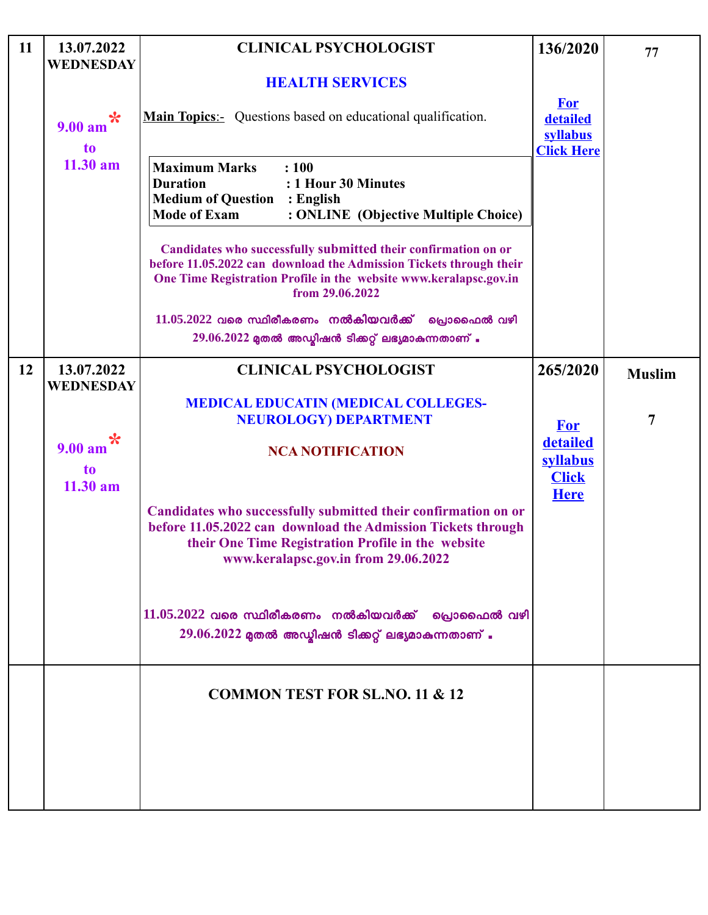| 11 | 13.07.2022<br><b>WEDNESDAY</b> | <b>CLINICAL PSYCHOLOGIST</b>                                                                                                                                                                                                 | 136/2020                                                | 77             |
|----|--------------------------------|------------------------------------------------------------------------------------------------------------------------------------------------------------------------------------------------------------------------------|---------------------------------------------------------|----------------|
|    |                                | <b>HEALTH SERVICES</b>                                                                                                                                                                                                       |                                                         |                |
|    | $\ast$<br>9.00 am<br>to        | <b>Main Topics:-</b> Questions based on educational qualification.                                                                                                                                                           | <b>For</b><br>detailed<br>syllabus<br><b>Click Here</b> |                |
|    | $11.30$ am                     | <b>Maximum Marks</b><br>: 100<br><b>Duration</b><br>: 1 Hour 30 Minutes<br><b>Medium of Question</b><br>$:$ English<br><b>Mode of Exam</b><br>: ONLINE (Objective Multiple Choice)                                           |                                                         |                |
|    |                                | Candidates who successfully submitted their confirmation on or<br>before 11.05.2022 can download the Admission Tickets through their<br>One Time Registration Profile in the website www.keralapsc.gov.in<br>from 29.06.2022 |                                                         |                |
|    |                                | $11.05.2022$ വരെ സ്ഥിരീകരണം നൽകിയവർക്ക് പ്രൊഫൈൽ വഴി<br>$29.06.2022$ മുതൽ അഡ്മിഷൻ ടിക്കറ്റ് ലഭ്യമാകുന്നതാണ് .                                                                                                                 |                                                         |                |
| 12 | 13.07.2022                     | <b>CLINICAL PSYCHOLOGIST</b>                                                                                                                                                                                                 | 265/2020                                                |                |
|    | <b>WEDNESDAY</b>               |                                                                                                                                                                                                                              |                                                         | <b>Muslim</b>  |
|    |                                | <b>MEDICAL EDUCATIN (MEDICAL COLLEGES-</b><br><b>NEUROLOGY) DEPARTMENT</b>                                                                                                                                                   | <b>For</b>                                              | $\overline{7}$ |
|    | $\ast$<br>9.00 am              | <b>NCA NOTIFICATION</b>                                                                                                                                                                                                      | detailed<br>syllabus                                    |                |
|    | t <sub>o</sub><br>11.30 am     |                                                                                                                                                                                                                              | <b>Click</b><br><b>Here</b>                             |                |
|    |                                | Candidates who successfully submitted their confirmation on or<br>before 11.05.2022 can download the Admission Tickets through<br>their One Time Registration Profile in the website<br>www.keralapsc.gov.in from 29.06.2022 |                                                         |                |
|    |                                | $11.05.2022$ വരെ സ്ഥിരീകരണം നൽകിയവർക്ക്<br>പ്രൊഫൈൽ വഴി<br>$29.06.2022$ മുതൽ അഡ്മിഷൻ ടിക്കറ്റ് ലഭ്യമാകുന്നതാണ് .                                                                                                              |                                                         |                |
|    |                                | <b>COMMON TEST FOR SL.NO. 11 &amp; 12</b>                                                                                                                                                                                    |                                                         |                |
|    |                                |                                                                                                                                                                                                                              |                                                         |                |
|    |                                |                                                                                                                                                                                                                              |                                                         |                |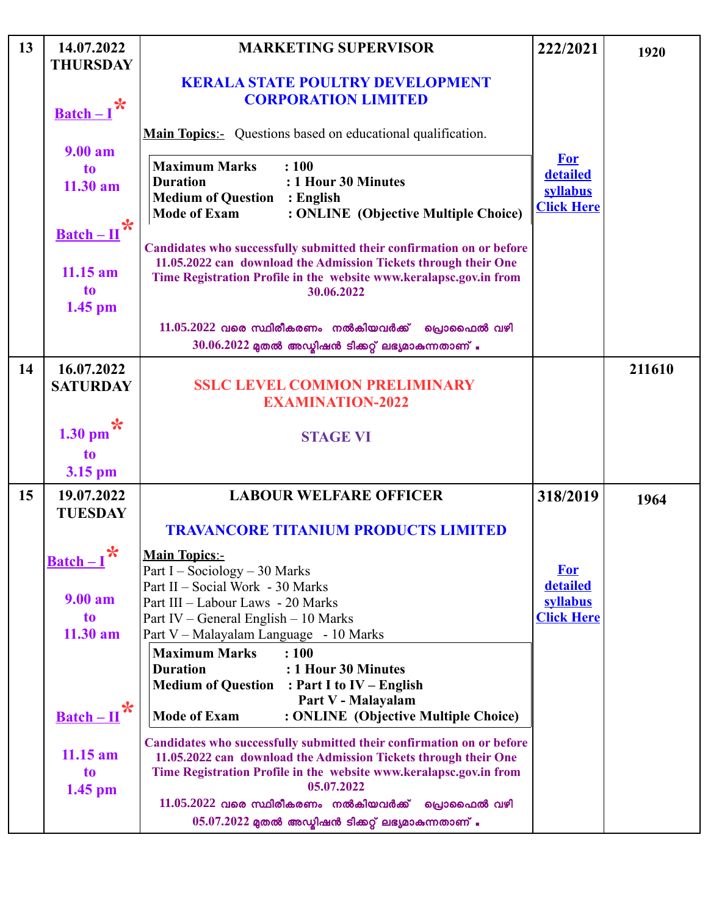| 13 | 14.07.2022<br><b>THURSDAY</b>                                   | <b>MARKETING SUPERVISOR</b>                                                                                                                                                                                                                                                                                                                           | 222/2021                                                | 1920   |
|----|-----------------------------------------------------------------|-------------------------------------------------------------------------------------------------------------------------------------------------------------------------------------------------------------------------------------------------------------------------------------------------------------------------------------------------------|---------------------------------------------------------|--------|
|    | $\frac{\text{Batch}-I}{\text{R}}$                               | <b>KERALA STATE POULTRY DEVELOPMENT</b><br><b>CORPORATION LIMITED</b>                                                                                                                                                                                                                                                                                 |                                                         |        |
|    | 9.00 a <sub>m</sub>                                             | <b>Main Topics:-</b> Questions based on educational qualification.                                                                                                                                                                                                                                                                                    |                                                         |        |
|    | to<br>$11.30$ am                                                | <b>Maximum Marks</b><br>: 100<br><b>Duration</b><br>: 1 Hour 30 Minutes<br><b>Medium of Question</b><br>$:$ English<br><b>Mode of Exam</b><br>: ONLINE (Objective Multiple Choice)                                                                                                                                                                    | <b>For</b><br>detailed<br>syllabus<br><b>Click Here</b> |        |
|    | $\frac{\text{Batch} - \text{II}}{x}$<br>$11.15$ am<br>to        | Candidates who successfully submitted their confirmation on or before<br>11.05.2022 can download the Admission Tickets through their One<br>Time Registration Profile in the website www.keralapsc.gov.in from<br>30.06.2022                                                                                                                          |                                                         |        |
|    | 1.45 pm                                                         | $11.05.2022$ വരെ സ്ഥിരീകരണം നൽകിയവർക്ക് പ്രൊഫൈൽ വഴി<br>$30.06.2022$ മുതൽ അഡ്ബിഷൻ ടിക്കറ്റ് ലഭ്യമാകുന്നതാണ് .                                                                                                                                                                                                                                          |                                                         |        |
| 14 | 16.07.2022<br><b>SATURDAY</b>                                   | <b>SSLC LEVEL COMMON PRELIMINARY</b><br><b>EXAMINATION-2022</b>                                                                                                                                                                                                                                                                                       |                                                         | 211610 |
|    | 1.30 pm $\mathbf{\hat{x}}$<br>t <sub>o</sub><br>3.15 pm         | <b>STAGE VI</b>                                                                                                                                                                                                                                                                                                                                       |                                                         |        |
| 15 | 19.07.2022<br><b>TUESDAY</b>                                    | <b>LABOUR WELFARE OFFICER</b><br><b>TRAVANCORE TITANIUM PRODUCTS LIMITED</b>                                                                                                                                                                                                                                                                          | 318/2019                                                | 1964   |
|    | $\ast$<br><b>Batch-I</b><br>9.00 am<br>to                       | <b>Main Topics:-</b><br>Part I – Sociology – 30 Marks<br>Part II - Social Work - 30 Marks<br>Part III - Labour Laws - 20 Marks<br>Part IV – General English – 10 Marks                                                                                                                                                                                | <b>For</b><br>detailed<br>syllabus<br><b>Click Here</b> |        |
|    | 11.30 am<br>✬                                                   | Part V - Malayalam Language - 10 Marks<br><b>Maximum Marks</b><br>: 100<br>: 1 Hour 30 Minutes<br><b>Duration</b><br><b>Medium of Question</b><br>: Part I to $IV$ – English<br>Part V - Malayalam                                                                                                                                                    |                                                         |        |
|    | $\underline{\text{Batch}-\Pi}$<br>$11.15$ am<br>to<br>$1.45$ pm | <b>Mode of Exam</b><br>: ONLINE (Objective Multiple Choice)<br>Candidates who successfully submitted their confirmation on or before<br>11.05.2022 can download the Admission Tickets through their One<br>Time Registration Profile in the website www.keralapsc.gov.in from<br>05.07.2022<br>$11.05.2022$ വരെ സ്ഥിരീകരണം നൽകിയവർക്ക്<br>പ്രൊഫൈൽ വഴി |                                                         |        |
|    |                                                                 | $05.07.2022$ മുതൽ അഡ്യിഷൻ ടിക്കറ്റ് ലഭ്യമാകുന്നതാണ് .                                                                                                                                                                                                                                                                                                 |                                                         |        |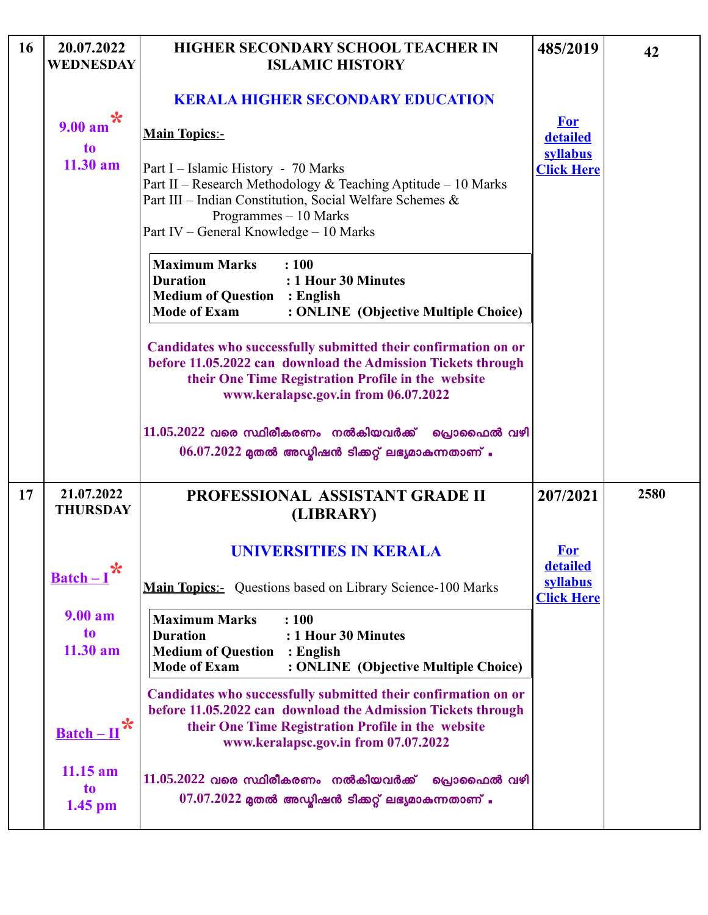| 16 | 20.07.2022<br><b>WEDNESDAY</b>    | <b>HIGHER SECONDARY SCHOOL TEACHER IN</b><br><b>ISLAMIC HISTORY</b>                                                                                                                                                                 | 485/2019                           | 42   |
|----|-----------------------------------|-------------------------------------------------------------------------------------------------------------------------------------------------------------------------------------------------------------------------------------|------------------------------------|------|
|    |                                   | <b>KERALA HIGHER SECONDARY EDUCATION</b>                                                                                                                                                                                            |                                    |      |
|    | $\ast$<br>9.00 am<br><b>to</b>    | <b>Main Topics:-</b>                                                                                                                                                                                                                | <b>For</b><br>detailed<br>syllabus |      |
|    | $11.30$ am                        | Part I – Islamic History - 70 Marks<br>Part II - Research Methodology & Teaching Aptitude - 10 Marks<br>Part III - Indian Constitution, Social Welfare Schemes &<br>Programmes - 10 Marks<br>Part IV – General Knowledge – 10 Marks | <b>Click Here</b>                  |      |
|    |                                   | <b>Maximum Marks</b><br>: 100<br><b>Duration</b><br>: 1 Hour 30 Minutes<br><b>Medium of Question : English</b><br><b>Mode of Exam</b><br>: ONLINE (Objective Multiple Choice)                                                       |                                    |      |
|    |                                   | Candidates who successfully submitted their confirmation on or<br>before 11.05.2022 can download the Admission Tickets through<br>their One Time Registration Profile in the website<br>www.keralapsc.gov.in from 06.07.2022        |                                    |      |
|    |                                   | $11.05.2022$ വരെ സ്ഥിരീകരണം നൽകിയവർക്ക്<br>്രഖ്വാഫൈൽ വഴി<br>$06.07.2022$ മുതൽ അഡ്ബിഷൻ ടിക്കറ്റ് ലഭ്യമാകുന്നതാണ് .                                                                                                                   |                                    |      |
| 17 | 21.07.2022<br><b>THURSDAY</b>     | PROFESSIONAL ASSISTANT GRADE II<br>(LIBRARY)                                                                                                                                                                                        | 207/2021                           | 2580 |
|    | $\frac{\text{Batch}-I}{\text{R}}$ | <b>UNIVERSITIES IN KERALA</b>                                                                                                                                                                                                       | <b>For</b><br><b>detailed</b>      |      |
|    |                                   | <b>Main Topics:-</b> Questions based on Library Science-100 Marks                                                                                                                                                                   | syllabus<br><b>Click Here</b>      |      |
|    | 9.00 am<br>to<br>11.30 am         | <b>Maximum Marks</b><br>: 100<br><b>Duration</b><br>: 1 Hour 30 Minutes<br><b>Medium of Question</b><br>$:$ English<br><b>Mode of Exam</b><br>: ONLINE (Objective Multiple Choice)                                                  |                                    |      |
|    | $Batch-I$                         | Candidates who successfully submitted their confirmation on or<br>before 11.05.2022 can download the Admission Tickets through<br>their One Time Registration Profile in the website<br>www.keralapsc.gov.in from 07.07.2022        |                                    |      |
|    | $11.15$ am<br>to<br>$1.45$ pm     | $11.05.2022$ വരെ സ്ഥിരീകരണം നൽകിയവർക്ക്<br>പ്രൊഫൈൽ വഴി<br>$07.07.2022$ മുതൽ അഡ്ബിഷൻ ടിക്കറ്റ് ലഭ്യമാകുന്നതാണ് .                                                                                                                     |                                    |      |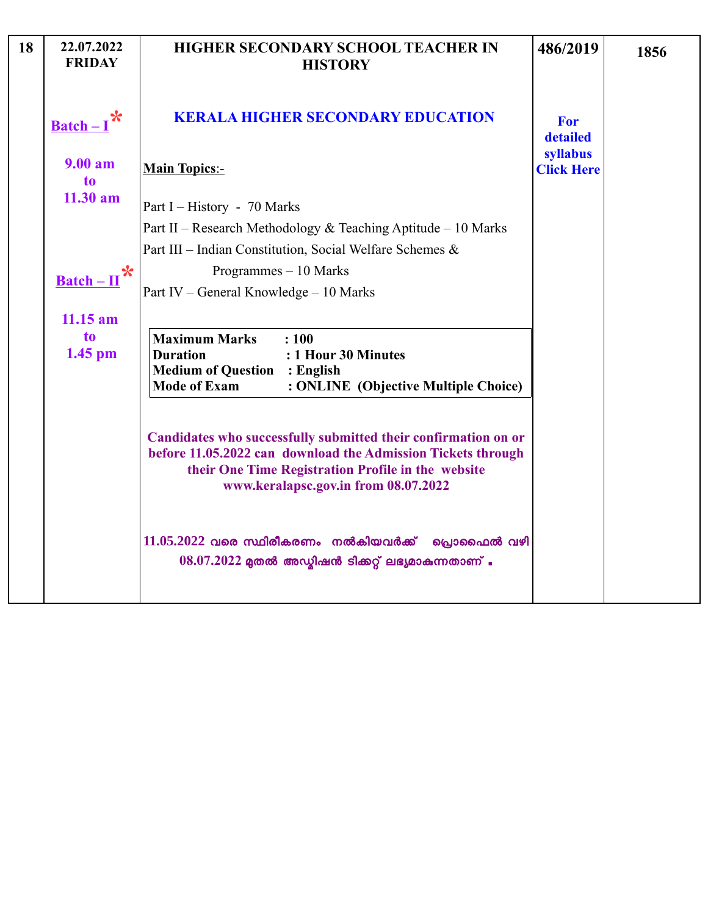| 18 | 22.07.2022<br><b>FRIDAY</b>          | HIGHER SECONDARY SCHOOL TEACHER IN<br><b>HISTORY</b>                                                                                                                                                                         | 486/2019                           | 1856 |
|----|--------------------------------------|------------------------------------------------------------------------------------------------------------------------------------------------------------------------------------------------------------------------------|------------------------------------|------|
|    | $\underline{\text{Batch}} - I$       | <b>KERALA HIGHER SECONDARY EDUCATION</b>                                                                                                                                                                                     | <b>For</b><br>detailed<br>syllabus |      |
|    | 9.00 a <sub>m</sub><br>to            | <b>Main Topics:-</b>                                                                                                                                                                                                         | <b>Click Here</b>                  |      |
|    | $11.30$ am                           | Part I – History - 70 Marks                                                                                                                                                                                                  |                                    |      |
|    |                                      | Part II – Research Methodology & Teaching Aptitude – 10 Marks<br>Part III - Indian Constitution, Social Welfare Schemes &                                                                                                    |                                    |      |
|    |                                      | Programmes - 10 Marks                                                                                                                                                                                                        |                                    |      |
|    | $\frac{\text{Batch} - \text{II}}{x}$ | Part IV - General Knowledge - 10 Marks                                                                                                                                                                                       |                                    |      |
|    | $11.15$ am                           |                                                                                                                                                                                                                              |                                    |      |
|    | to<br>$1.45$ pm                      | <b>Maximum Marks</b><br>: 100<br>: 1 Hour 30 Minutes<br><b>Duration</b><br><b>Medium of Question</b><br>: English<br><b>Mode of Exam</b><br>: ONLINE (Objective Multiple Choice)                                             |                                    |      |
|    |                                      | Candidates who successfully submitted their confirmation on or<br>before 11.05.2022 can download the Admission Tickets through<br>their One Time Registration Profile in the website<br>www.keralapsc.gov.in from 08.07.2022 |                                    |      |
|    |                                      | $11.05.2022$ വരെ സ്ഥിരീകരണം നൽകിയവർക്ക് പ്രൊഫൈൽ വഴി<br>$08.07.2022$ മുതൽ അഡ്ബിഷൻ ടിക്കറ്റ് ലഭ്യമാകുന്നതാണ് .                                                                                                                 |                                    |      |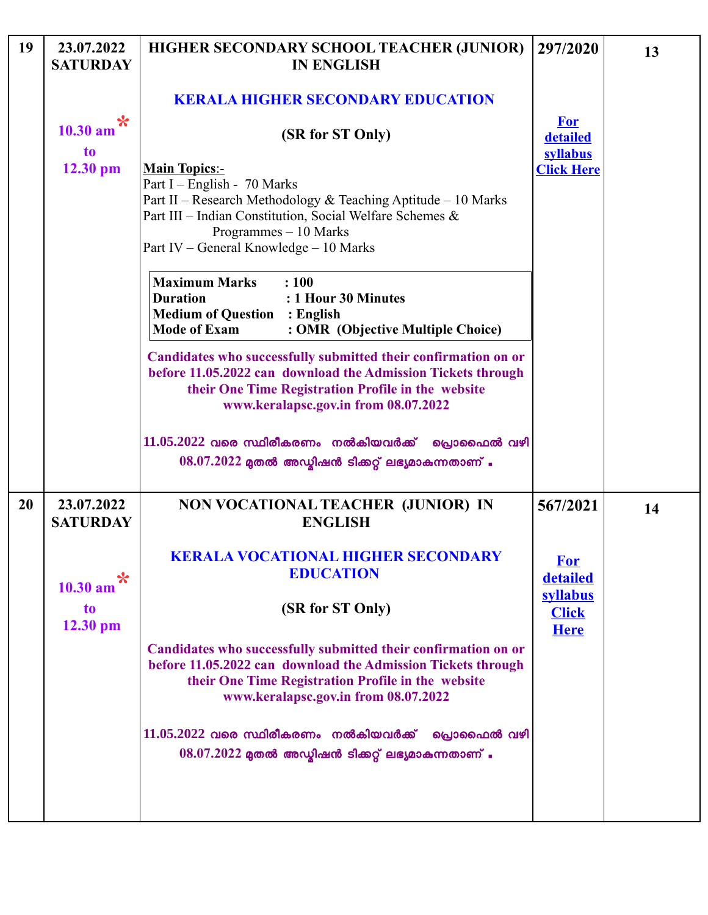| 19        | 23.07.2022<br><b>SATURDAY</b> | HIGHER SECONDARY SCHOOL TEACHER (JUNIOR)<br><b>IN ENGLISH</b>                                                                                                                                                                                       | 297/2020                           | 13 |
|-----------|-------------------------------|-----------------------------------------------------------------------------------------------------------------------------------------------------------------------------------------------------------------------------------------------------|------------------------------------|----|
|           | ℀                             | <b>KERALA HIGHER SECONDARY EDUCATION</b>                                                                                                                                                                                                            | <b>For</b>                         |    |
|           | 10.30 am<br>to                | (SR for ST Only)                                                                                                                                                                                                                                    | detailed<br>syllabus               |    |
|           | $12.30$ pm                    | <b>Main Topics:-</b><br>Part I – English - 70 Marks<br>Part II - Research Methodology & Teaching Aptitude - 10 Marks<br>Part III - Indian Constitution, Social Welfare Schemes &<br>Programmes - 10 Marks<br>Part IV – General Knowledge – 10 Marks | <b>Click Here</b>                  |    |
|           |                               | <b>Maximum Marks</b><br>: 100<br>: 1 Hour 30 Minutes<br><b>Duration</b><br><b>Medium of Question : English</b><br><b>Mode of Exam</b><br>: OMR (Objective Multiple Choice)                                                                          |                                    |    |
|           |                               | Candidates who successfully submitted their confirmation on or<br>before 11.05.2022 can download the Admission Tickets through<br>their One Time Registration Profile in the website<br>www.keralapsc.gov.in from 08.07.2022                        |                                    |    |
|           |                               | $11.05.2022$ വരെ സ്ഥിരീകരണം നൽകിയവർക്ക് പ്രൊഫൈൽ വഴി<br>$08.07.2022$ മുതൽ അഡ്ബിഷൻ ടിക്കറ്റ് ലഭ്യമാകുന്നതാണ് .                                                                                                                                        |                                    |    |
| <b>20</b> | 23.07.2022<br><b>SATURDAY</b> | NON VOCATIONAL TEACHER (JUNIOR) IN<br><b>ENGLISH</b>                                                                                                                                                                                                | 567/2021                           | 14 |
|           | ℀<br>10.30 am                 | <b>KERALA VOCATIONAL HIGHER SECONDARY</b><br><b>EDUCATION</b>                                                                                                                                                                                       | <b>For</b><br>detailed<br>syllabus |    |
|           | to<br>$12.30$ pm              | (SR for ST Only)                                                                                                                                                                                                                                    | <b>Click</b><br><b>Here</b>        |    |
|           |                               | Candidates who successfully submitted their confirmation on or<br>before 11.05.2022 can download the Admission Tickets through<br>their One Time Registration Profile in the website<br>www.keralapsc.gov.in from 08.07.2022                        |                                    |    |
|           |                               | $11.05.2022$ വരെ സ്ഥിരീകരണം നൽകിയവർക്ക്<br>പ്രൊഫൈൽ വഴി<br>$08.07.2022$ മുതൽ അഡ്മിഷൻ ടിക്കറ്റ് ലഭ്യമാകുന്നതാണ് .                                                                                                                                     |                                    |    |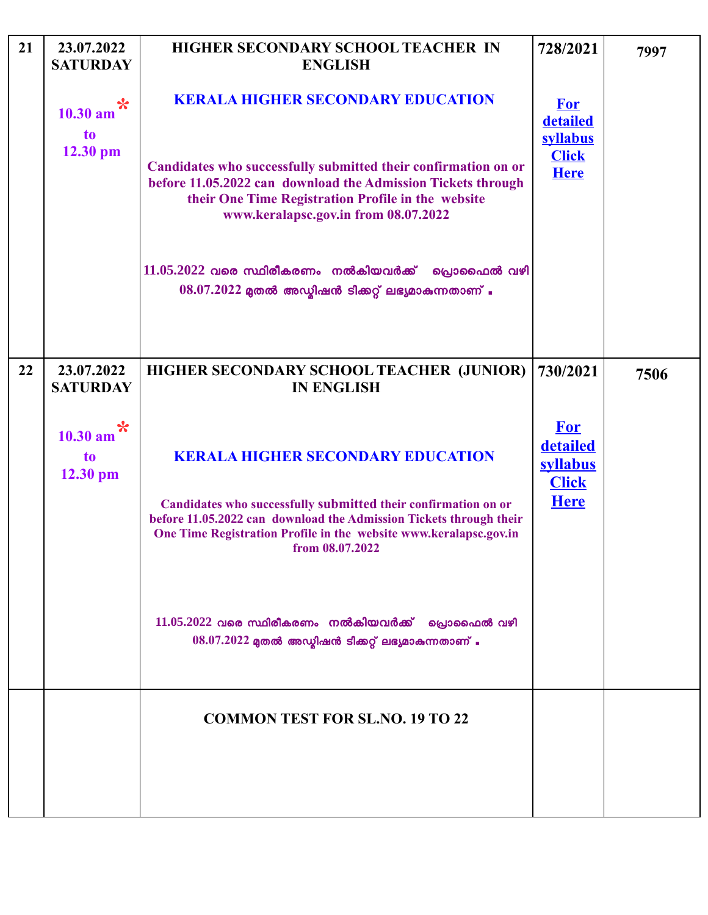| 21 | 23.07.2022<br><b>SATURDAY</b>                 | HIGHER SECONDARY SCHOOL TEACHER IN<br><b>ENGLISH</b>                                                                                                                                                                                                                     | 728/2021                                                          | 7997 |
|----|-----------------------------------------------|--------------------------------------------------------------------------------------------------------------------------------------------------------------------------------------------------------------------------------------------------------------------------|-------------------------------------------------------------------|------|
|    | *<br>10.30 am<br>to<br>12.30 pm               | <b>KERALA HIGHER SECONDARY EDUCATION</b>                                                                                                                                                                                                                                 | <b>For</b><br>detailed<br>syllabus                                |      |
|    |                                               | Candidates who successfully submitted their confirmation on or<br>before 11.05.2022 can download the Admission Tickets through<br>their One Time Registration Profile in the website<br>www.keralapsc.gov.in from 08.07.2022                                             | <b>Click</b><br><b>Here</b>                                       |      |
|    |                                               | $11.05.2022$ വരെ സ്ഥിരീകരണം നൽകിയവർക്ക്<br>പ്രൊഫൈൽ വഴി<br>$08.07.2022$ മുതൽ അഡ്മിഷൻ ടിക്കറ്റ് ലഭ്യമാകുന്നതാണ് .                                                                                                                                                          |                                                                   |      |
| 22 | 23.07.2022<br><b>SATURDAY</b>                 | HIGHER SECONDARY SCHOOL TEACHER (JUNIOR)<br><b>IN ENGLISH</b>                                                                                                                                                                                                            | 730/2021                                                          | 7506 |
|    | ✬<br>$10.30$ am<br>t <sub>o</sub><br>12.30 pm | <b>KERALA HIGHER SECONDARY EDUCATION</b><br>Candidates who successfully submitted their confirmation on or<br>before 11.05.2022 can download the Admission Tickets through their<br>One Time Registration Profile in the website www.keralapsc.gov.in<br>from 08.07.2022 | <b>For</b><br>detailed<br>syllabus<br><b>Click</b><br><b>Here</b> |      |
|    |                                               | $11.05.2022$ വരെ സ്ഥിരീകരണം നൽകിയവർക്ക് പ്രൊഫൈൽ വഴി<br>$08.07.2022$ മുതൽ അഡ്മിഷൻ ടിക്കറ്റ് ലഭ്യമാകുന്നതാണ് .                                                                                                                                                             |                                                                   |      |
|    |                                               | <b>COMMON TEST FOR SL.NO. 19 TO 22</b>                                                                                                                                                                                                                                   |                                                                   |      |
|    |                                               |                                                                                                                                                                                                                                                                          |                                                                   |      |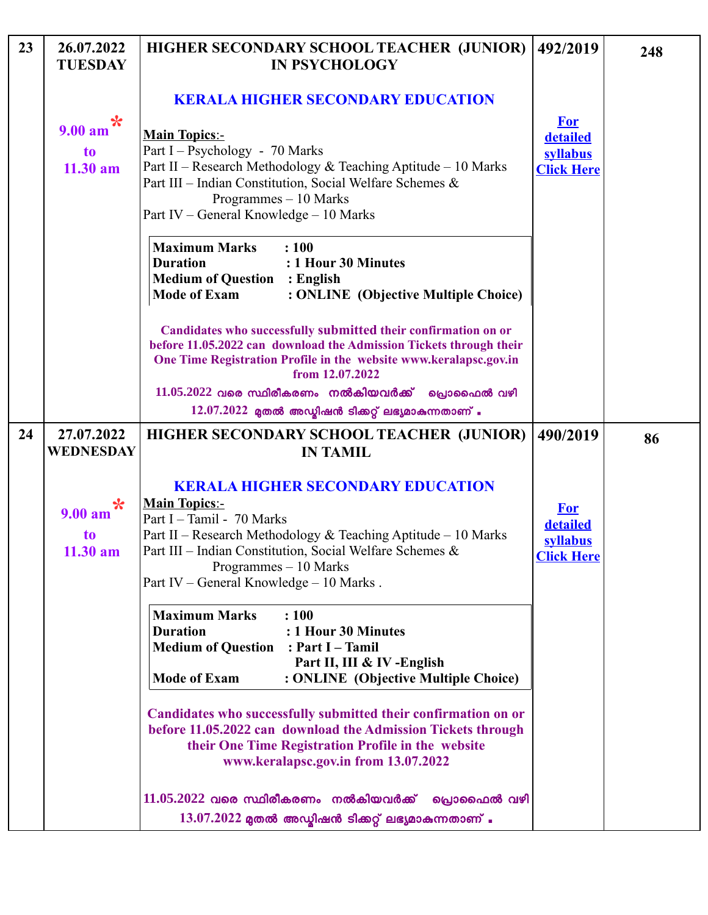| 23 | 26.07.2022<br><b>TUESDAY</b>                                   | HIGHER SECONDARY SCHOOL TEACHER (JUNIOR)<br><b>IN PSYCHOLOGY</b>                                                                                                                                                                                                                                | 492/2019                                                | 248 |
|----|----------------------------------------------------------------|-------------------------------------------------------------------------------------------------------------------------------------------------------------------------------------------------------------------------------------------------------------------------------------------------|---------------------------------------------------------|-----|
|    |                                                                | <b>KERALA HIGHER SECONDARY EDUCATION</b>                                                                                                                                                                                                                                                        |                                                         |     |
|    | $\ast$<br>$9.00 a$ m<br>t <sub>o</sub><br>11.30 am             | <b>Main Topics:-</b><br>Part I – Psychology - 70 Marks<br>Part II - Research Methodology & Teaching Aptitude - 10 Marks<br>Part III - Indian Constitution, Social Welfare Schemes &<br>Programmes - 10 Marks<br>Part IV – General Knowledge – 10 Marks                                          | <b>For</b><br>detailed<br>syllabus<br><b>Click Here</b> |     |
|    |                                                                | <b>Maximum Marks</b><br>: 100<br><b>Duration</b><br>: 1 Hour 30 Minutes<br><b>Medium of Question</b><br>: English<br><b>Mode of Exam</b><br>: ONLINE (Objective Multiple Choice)                                                                                                                |                                                         |     |
|    |                                                                | Candidates who successfully submitted their confirmation on or<br>before 11.05.2022 can download the Admission Tickets through their<br>One Time Registration Profile in the website www.keralapsc.gov.in<br>from 12.07.2022                                                                    |                                                         |     |
|    |                                                                | $11.05.2022$ വരെ സ്ഥിരീകരണം നൽകിയവർക്ക്<br>പ്രൊഫൈൽ വഴി<br>$12.07.2022$ മുതൽ അഡ്യിഷൻ ടിക്കറ്റ് ലഭ്യമാകുന്നതാണ് .                                                                                                                                                                                 |                                                         |     |
| 24 | 27.07.2022<br>WEDNESDAY                                        | HIGHER SECONDARY SCHOOL TEACHER (JUNIOR)<br><b>IN TAMIL</b>                                                                                                                                                                                                                                     | 490/2019                                                | 86  |
|    | $\boldsymbol{\ast}$<br>9.00 am<br>t <sub>o</sub><br>$11.30$ am | <b>KERALA HIGHER SECONDARY EDUCATION</b><br><b>Main Topics:-</b><br>Part I - Tamil - 70 Marks<br>Part II – Research Methodology & Teaching Aptitude – 10 Marks<br>Part III - Indian Constitution, Social Welfare Schemes &<br>Programmes $-10$ Marks<br>Part IV - General Knowledge - 10 Marks. | <b>For</b><br>detailed<br>syllabus<br><b>Click Here</b> |     |
|    |                                                                | <b>Maximum Marks</b><br>: 100<br><b>Duration</b><br>: 1 Hour 30 Minutes<br><b>Medium of Question</b><br>: Part I – Tamil<br>Part II, III & IV-English<br><b>Mode of Exam</b><br>: ONLINE (Objective Multiple Choice)                                                                            |                                                         |     |
|    |                                                                | Candidates who successfully submitted their confirmation on or<br>before 11.05.2022 can download the Admission Tickets through<br>their One Time Registration Profile in the website<br>www.keralapsc.gov.in from 13.07.2022                                                                    |                                                         |     |
|    |                                                                | $11.05.2022$ വരെ സ്ഥിരീകരണം നൽകിയവർക്ക് പ്രൊഫൈൽ വഴി<br>$13.07.2022$ മുതൽ അഡ്മിഷൻ ടിക്കറ്റ് ലഭ്യമാകുന്നതാണ് .                                                                                                                                                                                    |                                                         |     |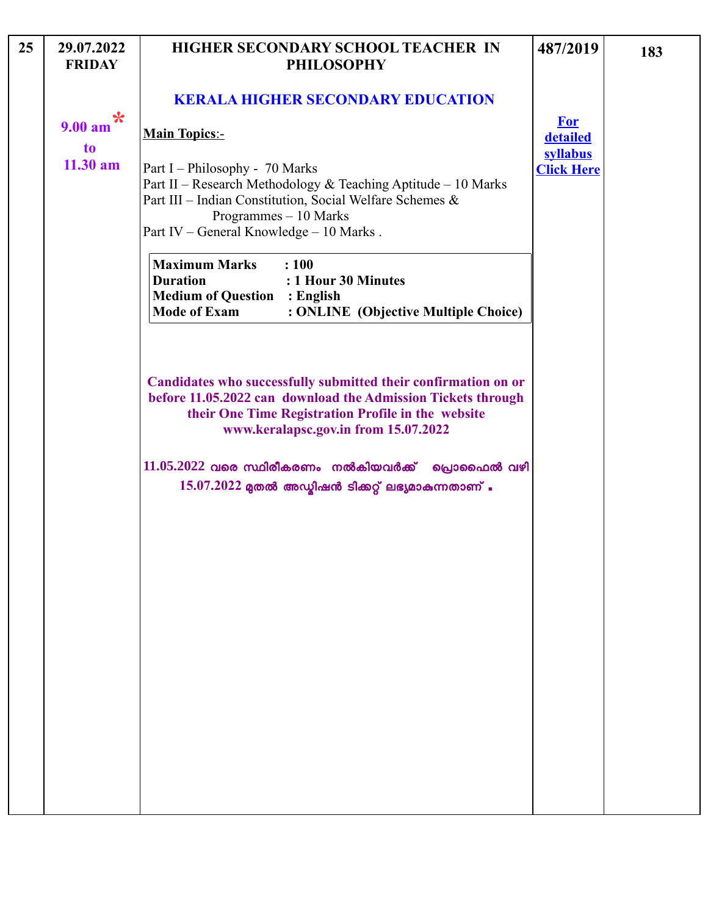| 25 | 29.07.2022<br><b>FRIDAY</b> | HIGHER SECONDARY SCHOOL TEACHER IN<br><b>PHILOSOPHY</b>                                                                                                                                                                         | 487/2019             | 183 |
|----|-----------------------------|---------------------------------------------------------------------------------------------------------------------------------------------------------------------------------------------------------------------------------|----------------------|-----|
|    | $\ast$                      | <b>KERALA HIGHER SECONDARY EDUCATION</b>                                                                                                                                                                                        | <b>For</b>           |     |
|    | 9.00 am<br>to               | <b>Main Topics:-</b>                                                                                                                                                                                                            | detailed<br>syllabus |     |
|    | $11.30$ am                  | Part I – Philosophy - 70 Marks<br>Part II – Research Methodology & Teaching Aptitude – 10 Marks<br>Part III - Indian Constitution, Social Welfare Schemes &<br>Programmes - 10 Marks<br>Part IV - General Knowledge - 10 Marks. | <b>Click Here</b>    |     |
|    |                             | <b>Maximum Marks</b><br>: 100<br><b>Duration</b><br>: 1 Hour 30 Minutes<br><b>Medium of Question : English</b><br><b>Mode of Exam</b><br>: ONLINE (Objective Multiple Choice)                                                   |                      |     |
|    |                             | Candidates who successfully submitted their confirmation on or<br>before 11.05.2022 can download the Admission Tickets through<br>their One Time Registration Profile in the website<br>www.keralapsc.gov.in from 15.07.2022    |                      |     |
|    |                             | $11.05.2022$ വരെ സ്ഥിരീകരണം നൽകിയവർക്ക് പ്രൊഫൈൽ വഴി<br>$15.07.2022$ മുതൽ അഡ്മിഷൻ ടിക്കറ്റ് ലഭ്യമാകുന്നതാണ് .                                                                                                                    |                      |     |
|    |                             |                                                                                                                                                                                                                                 |                      |     |
|    |                             |                                                                                                                                                                                                                                 |                      |     |
|    |                             |                                                                                                                                                                                                                                 |                      |     |
|    |                             |                                                                                                                                                                                                                                 |                      |     |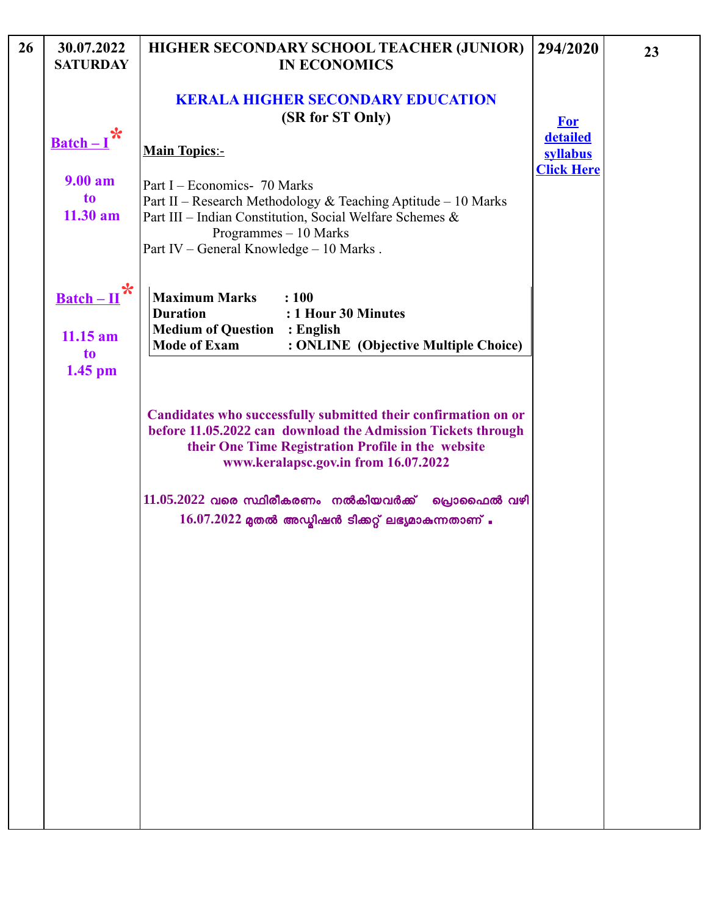| 26 | 30.07.2022<br><b>SATURDAY</b>                  | HIGHER SECONDARY SCHOOL TEACHER (JUNIOR)<br><b>IN ECONOMICS</b>                                                                                                                                                               | 294/2020                      | 23 |
|----|------------------------------------------------|-------------------------------------------------------------------------------------------------------------------------------------------------------------------------------------------------------------------------------|-------------------------------|----|
|    | $\frac{\text{Batch}-I}{\text{R}}$              | <b>KERALA HIGHER SECONDARY EDUCATION</b><br>(SR for ST Only)<br><b>Main Topics:-</b>                                                                                                                                          | <b>For</b><br>detailed        |    |
|    |                                                |                                                                                                                                                                                                                               | syllabus<br><b>Click Here</b> |    |
|    | 9.00 am<br>t <sub>o</sub><br>$11.30$ am        | Part I – Economics- 70 Marks<br>Part II – Research Methodology & Teaching Aptitude – 10 Marks<br>Part III - Indian Constitution, Social Welfare Schemes &<br>Programmes - 10 Marks<br>Part IV - General Knowledge - 10 Marks. |                               |    |
|    | $\ast$<br>$\underline{\text{Batch}-\text{II}}$ | <b>Maximum Marks</b><br>: 100<br>: 1 Hour 30 Minutes<br><b>Duration</b>                                                                                                                                                       |                               |    |
|    | $11.15$ am<br>to<br>$1.45$ pm                  | <b>Medium of Question</b><br>: English<br><b>Mode of Exam</b><br>: ONLINE (Objective Multiple Choice)                                                                                                                         |                               |    |
|    |                                                | Candidates who successfully submitted their confirmation on or<br>before 11.05.2022 can download the Admission Tickets through<br>their One Time Registration Profile in the website<br>www.keralapsc.gov.in from 16.07.2022  |                               |    |
|    |                                                | $11.05.2022$ വരെ സ്ഥിരീകരണം നൽകിയവർക്ക് പ്രൊഫൈൽ വഴി<br>$16.07.2022$ മുതൽ അഡ്മിഷൻ ടിക്കറ്റ് ലഭ്യമാകുന്നതാണ് .                                                                                                                  |                               |    |
|    |                                                |                                                                                                                                                                                                                               |                               |    |
|    |                                                |                                                                                                                                                                                                                               |                               |    |
|    |                                                |                                                                                                                                                                                                                               |                               |    |
|    |                                                |                                                                                                                                                                                                                               |                               |    |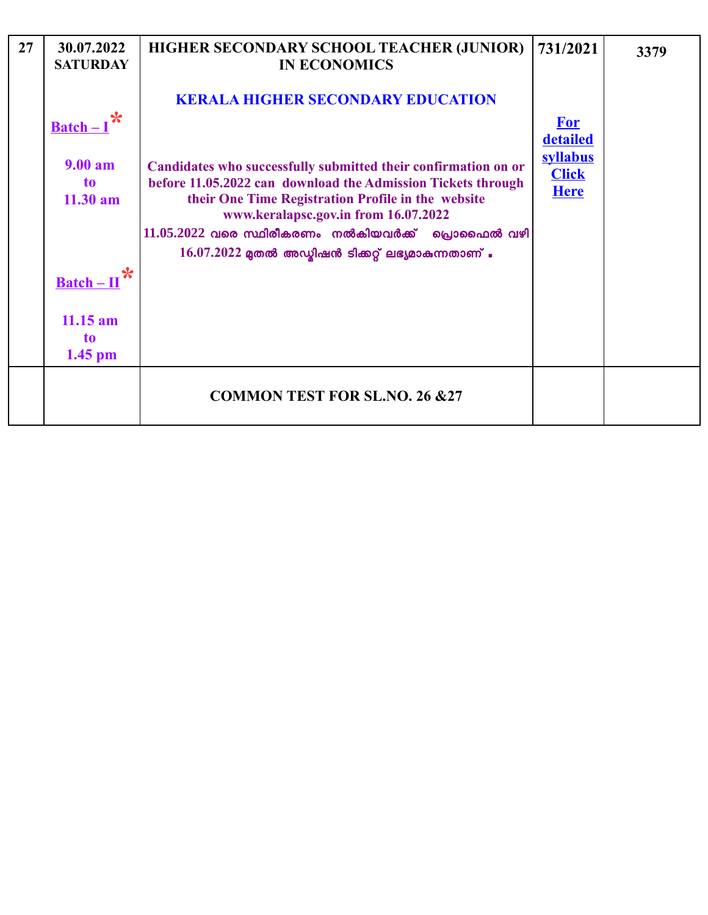| 27 | 30.07.2022<br><b>SATURDAY</b>  | HIGHER SECONDARY SCHOOL TEACHER (JUNIOR)<br><b>IN ECONOMICS</b>                                                                                                                                                                                                                                                                              | 731/2021                                            | 3379 |
|----|--------------------------------|----------------------------------------------------------------------------------------------------------------------------------------------------------------------------------------------------------------------------------------------------------------------------------------------------------------------------------------------|-----------------------------------------------------|------|
|    | $\textbf{Batch} -$             | <b>KERALA HIGHER SECONDARY EDUCATION</b>                                                                                                                                                                                                                                                                                                     | <b>For</b>                                          |      |
|    | $9.00 a$ m<br>to<br>$11.30$ am | Candidates who successfully submitted their confirmation on or<br>before 11.05.2022 can download the Admission Tickets through<br>their One Time Registration Profile in the website<br>www.keralapsc.gov.in from 16.07.2022<br>$11.05.2022$ വരെ സ്ഥിരീകരണം നൽകിയവർക്ക് പ്രൊഫൈൽ വഴി<br>$16.07.2022$ മുതൽ അഡ്യിഷൻ ടിക്കറ്റ് ലഭ്യമാകുന്നതാണ് . | detailed<br>syllabus<br><b>Click</b><br><b>Here</b> |      |
|    | $\textbf{Batch} - \textbf{II}$ |                                                                                                                                                                                                                                                                                                                                              |                                                     |      |
|    | $11.15$ am<br>to<br>$1.45$ pm  |                                                                                                                                                                                                                                                                                                                                              |                                                     |      |
|    |                                | <b>COMMON TEST FOR SL.NO. 26 &amp;27</b>                                                                                                                                                                                                                                                                                                     |                                                     |      |